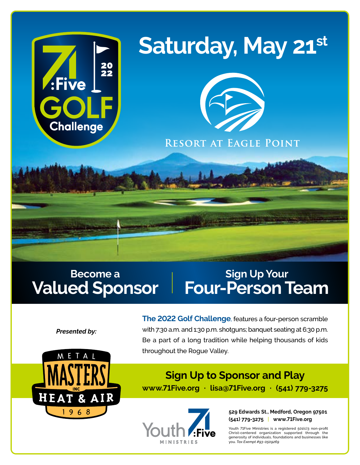

# Saturday, May 21st



RESORT AT EAGLE POINT

# **Become a Valued Sponsor**

# **Sign Up Your Four-Person Team**

*Presented by:*



**The 2022 Golf Challenge**, features a four-person scramble with 7:30 a.m. and 1:30 p.m. shotguns; banquet seating at 6:30 p.m. Be a part of a long tradition while helping thousands of kids throughout the Rogue Valley.

# **Sign Up to Sponsor and Play www.71Five.org · lisa@71Five.org · (541) 779-3275**



**529 Edwards St., Medford, Oregon 97501 (541) 779-3275** | **www.71Five.org**

Youth 71Five Ministries is a registered 501(c)3 non-profit Christ-centered organization supported through the generosity of individuals, foundations and businesses like you. *Tax Exempt #93-0509269*